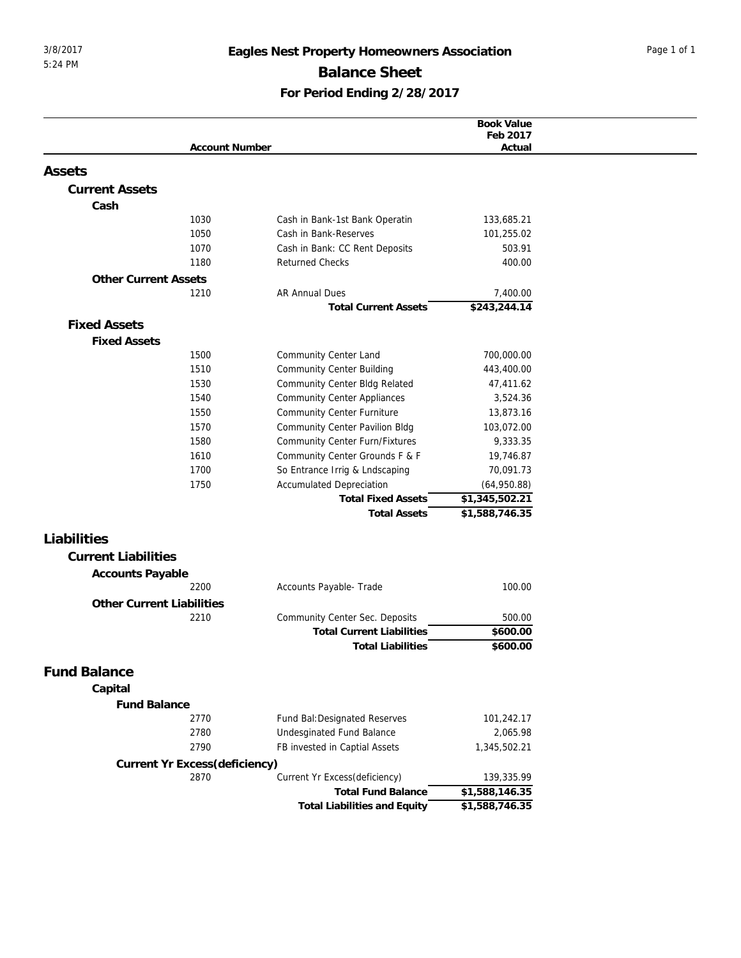## 3/8/2017 **Eagles Nest Property Homeowners Association** Page 1 of 1 **Balance Sheet For Period Ending 2/28/2017**

|                                  |                               |                                     | <b>Book Value</b>  |
|----------------------------------|-------------------------------|-------------------------------------|--------------------|
|                                  | <b>Account Number</b>         |                                     | Feb 2017<br>Actual |
|                                  |                               |                                     |                    |
| Assets                           |                               |                                     |                    |
| <b>Current Assets</b>            |                               |                                     |                    |
| Cash                             |                               |                                     |                    |
|                                  | 1030                          | Cash in Bank-1st Bank Operatin      | 133,685.21         |
|                                  | 1050                          | Cash in Bank-Reserves               | 101,255.02         |
|                                  | 1070                          | Cash in Bank: CC Rent Deposits      | 503.91             |
|                                  | 1180                          | <b>Returned Checks</b>              | 400.00             |
| <b>Other Current Assets</b>      |                               |                                     |                    |
|                                  | 1210                          | <b>AR Annual Dues</b>               | 7,400.00           |
|                                  |                               | <b>Total Current Assets</b>         | \$243,244.14       |
| <b>Fixed Assets</b>              |                               |                                     |                    |
| <b>Fixed Assets</b>              |                               |                                     |                    |
|                                  | 1500                          | Community Center Land               | 700,000.00         |
|                                  | 1510                          | Community Center Building           | 443,400.00         |
|                                  | 1530                          | Community Center Bldg Related       | 47,411.62          |
|                                  | 1540                          | <b>Community Center Appliances</b>  | 3,524.36           |
|                                  | 1550                          | <b>Community Center Furniture</b>   | 13,873.16          |
|                                  | 1570                          | Community Center Pavilion Bldg      | 103,072.00         |
|                                  | 1580                          | Community Center Furn/Fixtures      | 9,333.35           |
|                                  | 1610                          | Community Center Grounds F & F      | 19,746.87          |
|                                  | 1700                          | So Entrance Irrig & Lndscaping      | 70,091.73          |
|                                  | 1750                          | <b>Accumulated Depreciation</b>     | (64,950.88)        |
|                                  |                               | <b>Total Fixed Assets</b>           | \$1,345,502.21     |
|                                  |                               | <b>Total Assets</b>                 | \$1,588,746.35     |
| Liabilities                      |                               |                                     |                    |
| <b>Current Liabilities</b>       |                               |                                     |                    |
| Accounts Payable                 |                               |                                     |                    |
|                                  | 2200                          | Accounts Payable- Trade             | 100.00             |
| <b>Other Current Liabilities</b> |                               |                                     |                    |
|                                  | 2210                          | Community Center Sec. Deposits      | 500.00             |
|                                  |                               | <b>Total Current Liabilities</b>    | \$600.00           |
|                                  |                               | <b>Total Liabilities</b>            | \$600.00           |
|                                  |                               |                                     |                    |
| <b>Fund Balance</b>              |                               |                                     |                    |
| Capital                          |                               |                                     |                    |
| <b>Fund Balance</b>              |                               |                                     |                    |
|                                  | 2770                          | Fund Bal: Designated Reserves       | 101,242.17         |
|                                  | 2780                          | Undesginated Fund Balance           | 2,065.98           |
|                                  | 2790                          | FB invested in Captial Assets       | 1,345,502.21       |
|                                  | Current Yr Excess(deficiency) |                                     |                    |
|                                  | 2870                          | Current Yr Excess(deficiency)       | 139,335.99         |
|                                  |                               | <b>Total Fund Balance</b>           | \$1,588,146.35     |
|                                  |                               | <b>Total Liabilities and Equity</b> | \$1,588,746.35     |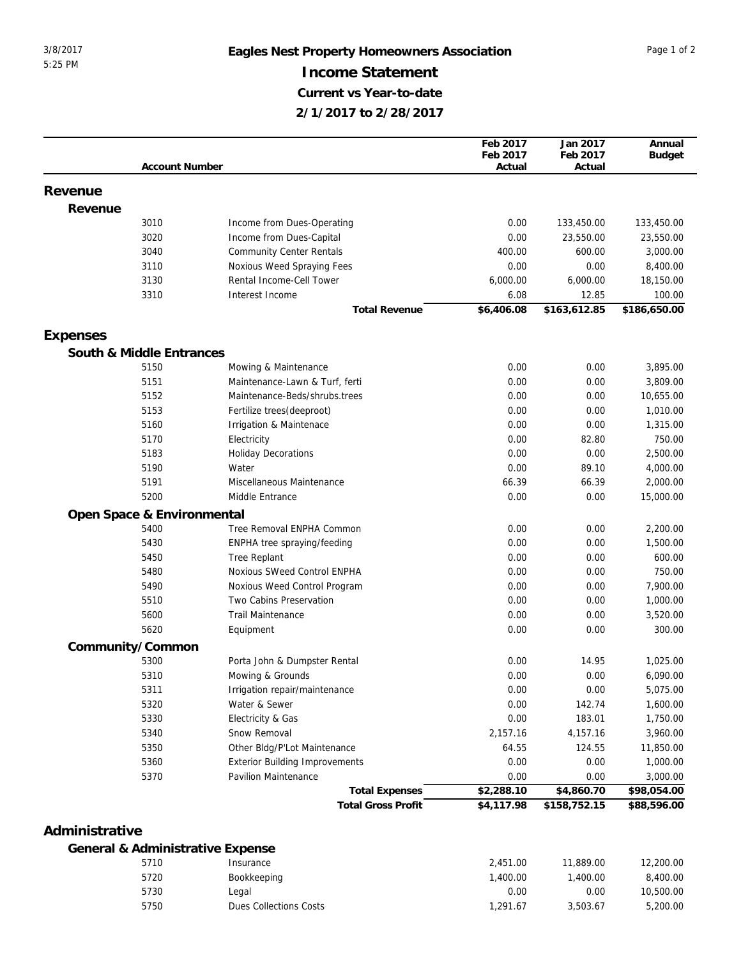## 3/8/2017 **Eagles Nest Property Homeowners Association** Page 1 of 2 **Income Statement Current vs Year-to-date 2/1/2017 to 2/28/2017**

|                |                            |                                       | Feb 2017   | Jan 2017     | Annual                  |
|----------------|----------------------------|---------------------------------------|------------|--------------|-------------------------|
|                |                            |                                       | Feb 2017   | Feb 2017     | <b>Budget</b>           |
|                | <b>Account Number</b>      |                                       | Actual     | Actual       |                         |
|                |                            |                                       |            |              |                         |
| Revenue        |                            |                                       |            |              |                         |
| Revenue        |                            |                                       |            |              |                         |
|                | 3010                       | Income from Dues-Operating            | 0.00       | 133,450.00   | 133,450.00              |
|                | 3020                       | Income from Dues-Capital              | 0.00       | 23,550.00    | 23,550.00               |
|                | 3040                       | <b>Community Center Rentals</b>       | 400.00     | 600.00       | 3,000.00                |
|                | 3110                       | Noxious Weed Spraying Fees            | 0.00       | 0.00         | 8,400.00                |
|                | 3130                       | Rental Income-Cell Tower              | 6,000.00   | 6,000.00     | 18,150.00               |
|                | 3310                       | Interest Income                       | 6.08       | 12.85        | 100.00                  |
|                |                            | <b>Total Revenue</b>                  | \$6,406.08 | \$163,612.85 | \$186,650.00            |
|                |                            |                                       |            |              |                         |
| Expenses       |                            |                                       |            |              |                         |
|                | South & Middle Entrances   |                                       |            |              |                         |
|                | 5150                       | Mowing & Maintenance                  | 0.00       | 0.00         | 3,895.00                |
|                | 5151                       | Maintenance-Lawn & Turf, ferti        | 0.00       | 0.00         | 3,809.00                |
|                | 5152                       | Maintenance-Beds/shrubs.trees         | 0.00       | 0.00         | 10,655.00               |
|                | 5153                       | Fertilize trees(deeproot)             | 0.00       | 0.00         | 1,010.00                |
|                | 5160                       | Irrigation & Maintenace               | 0.00       | 0.00         | 1,315.00                |
|                | 5170                       | Electricity                           | 0.00       | 82.80        | 750.00                  |
|                | 5183                       | <b>Holiday Decorations</b>            | 0.00       | 0.00         | 2,500.00                |
|                | 5190                       | Water                                 | 0.00       | 89.10        | 4,000.00                |
|                | 5191                       | Miscellaneous Maintenance             | 66.39      | 66.39        | 2,000.00                |
|                | 5200                       | Middle Entrance                       | 0.00       | 0.00         | 15,000.00               |
|                | Open Space & Environmental |                                       |            |              |                         |
|                | 5400                       | Tree Removal ENPHA Common             | 0.00       | 0.00         | 2,200.00                |
|                | 5430                       | ENPHA tree spraying/feeding           | 0.00       | 0.00         | 1,500.00                |
|                | 5450                       | Tree Replant                          | 0.00       | 0.00         | 600.00                  |
|                | 5480                       | Noxious SWeed Control ENPHA           | 0.00       | 0.00         | 750.00                  |
|                | 5490                       | Noxious Weed Control Program          | 0.00       | 0.00         | 7,900.00                |
|                | 5510                       | Two Cabins Preservation               | 0.00       | 0.00         | 1,000.00                |
|                | 5600                       | <b>Trail Maintenance</b>              | 0.00       | 0.00         | 3,520.00                |
|                | 5620                       | Equipment                             | 0.00       | 0.00         | 300.00                  |
|                | Community/Common           |                                       |            |              |                         |
|                | 5300                       | Porta John & Dumpster Rental          | 0.00       | 14.95        | 1,025.00                |
|                | 5310                       | Mowing & Grounds                      | 0.00       | 0.00         | 6,090.00                |
|                | 5311                       | Irrigation repair/maintenance         | 0.00       | 0.00         | 5,075.00                |
|                | 5320                       | Water & Sewer                         | 0.00       | 142.74       | 1,600.00                |
|                | 5330                       | Electricity & Gas                     | 0.00       | 183.01       | 1,750.00                |
|                | 5340                       | Snow Removal                          | 2,157.16   | 4,157.16     | 3,960.00                |
|                | 5350                       | Other Bldg/P'Lot Maintenance          | 64.55      | 124.55       | 11,850.00               |
|                | 5360                       | <b>Exterior Building Improvements</b> | 0.00       | 0.00         | 1,000.00                |
|                | 5370                       | Pavilion Maintenance                  | 0.00       | 0.00         |                         |
|                |                            | <b>Total Expenses</b>                 | \$2,288.10 | \$4,860.70   | 3,000.00<br>\$98,054.00 |
|                |                            | <b>Total Gross Profit</b>             | \$4,117.98 | \$158,752.15 | \$88,596.00             |
|                |                            |                                       |            |              |                         |
| Administrative |                            |                                       |            |              |                         |
|                |                            | General & Administrative Expense      |            |              |                         |
|                | 5710                       | Insurance                             | 2,451.00   | 11,889.00    | 12,200.00               |
|                | 5720                       | Bookkeeping                           | 1,400.00   | 1,400.00     | 8,400.00                |
|                | 5730                       | Legal                                 | 0.00       | 0.00         | 10,500.00               |
|                | 5750                       | Dues Collections Costs                | 1,291.67   | 3,503.67     | 5,200.00                |